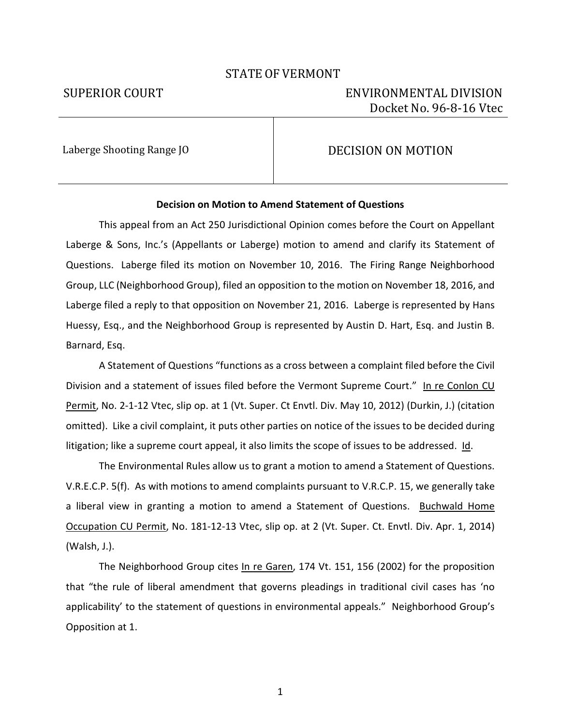## STATE OF VERMONT

# SUPERIOR COURT ENVIRONMENTAL DIVISION Docket No. 96-8-16 Vtec

Laberge Shooting Range JO **DECISION ON MOTION** 

### **Decision on Motion to Amend Statement of Questions**

This appeal from an Act 250 Jurisdictional Opinion comes before the Court on Appellant Laberge & Sons, Inc.'s (Appellants or Laberge) motion to amend and clarify its Statement of Questions. Laberge filed its motion on November 10, 2016. The Firing Range Neighborhood Group, LLC (Neighborhood Group), filed an opposition to the motion on November 18, 2016, and Laberge filed a reply to that opposition on November 21, 2016. Laberge is represented by Hans Huessy, Esq., and the Neighborhood Group is represented by Austin D. Hart, Esq. and Justin B. Barnard, Esq.

A Statement of Questions "functions as a cross between a complaint filed before the Civil Division and a statement of issues filed before the Vermont Supreme Court." In re Conlon CU Permit, No. 2-1-12 Vtec, slip op. at 1 (Vt. Super. Ct Envtl. Div. May 10, 2012) (Durkin, J.) (citation omitted). Like a civil complaint, it puts other parties on notice of the issues to be decided during litigation; like a supreme court appeal, it also limits the scope of issues to be addressed. Id.

The Environmental Rules allow us to grant a motion to amend a Statement of Questions. V.R.E.C.P. 5(f). As with motions to amend complaints pursuant to V.R.C.P. 15, we generally take a liberal view in granting a motion to amend a Statement of Questions. Buchwald Home Occupation CU Permit, No. 181-12-13 Vtec, slip op. at 2 (Vt. Super. Ct. Envtl. Div. Apr. 1, 2014) (Walsh, J.).

The Neighborhood Group cites In re Garen, 174 Vt. 151, 156 (2002) for the proposition that "the rule of liberal amendment that governs pleadings in traditional civil cases has 'no applicability' to the statement of questions in environmental appeals." Neighborhood Group's Opposition at 1.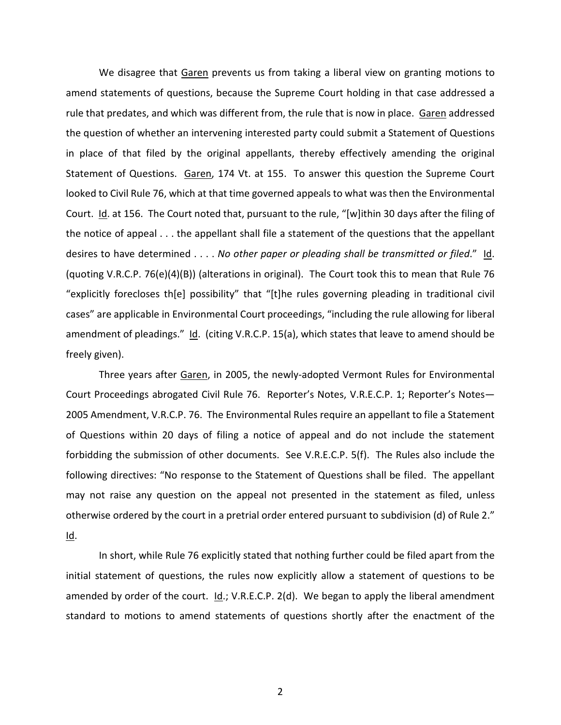We disagree that Garen prevents us from taking a liberal view on granting motions to amend statements of questions, because the Supreme Court holding in that case addressed a rule that predates, and which was different from, the rule that is now in place. Garen addressed the question of whether an intervening interested party could submit a Statement of Questions in place of that filed by the original appellants, thereby effectively amending the original Statement of Questions. Garen, 174 Vt. at 155. To answer this question the Supreme Court looked to Civil Rule 76, which at that time governed appeals to what was then the Environmental Court. Id. at 156. The Court noted that, pursuant to the rule, "[w]ithin 30 days after the filing of the notice of appeal . . . the appellant shall file a statement of the questions that the appellant desires to have determined . . . . *No other paper or pleading shall be transmitted or filed*." Id. (quoting V.R.C.P. 76(e)(4)(B)) (alterations in original). The Court took this to mean that Rule 76 "explicitly forecloses th[e] possibility" that "[t]he rules governing pleading in traditional civil cases" are applicable in Environmental Court proceedings, "including the rule allowing for liberal amendment of pleadings." Id. (citing V.R.C.P. 15(a), which states that leave to amend should be freely given).

Three years after Garen, in 2005, the newly-adopted Vermont Rules for Environmental Court Proceedings abrogated Civil Rule 76. Reporter's Notes, V.R.E.C.P. 1; Reporter's Notes— 2005 Amendment, V.R.C.P. 76. The Environmental Rules require an appellant to file a Statement of Questions within 20 days of filing a notice of appeal and do not include the statement forbidding the submission of other documents. See V.R.E.C.P. 5(f). The Rules also include the following directives: "No response to the Statement of Questions shall be filed. The appellant may not raise any question on the appeal not presented in the statement as filed, unless otherwise ordered by the court in a pretrial order entered pursuant to subdivision (d) of Rule 2." Id.

In short, while Rule 76 explicitly stated that nothing further could be filed apart from the initial statement of questions, the rules now explicitly allow a statement of questions to be amended by order of the court.  $Id.$ ; V.R.E.C.P. 2(d). We began to apply the liberal amendment standard to motions to amend statements of questions shortly after the enactment of the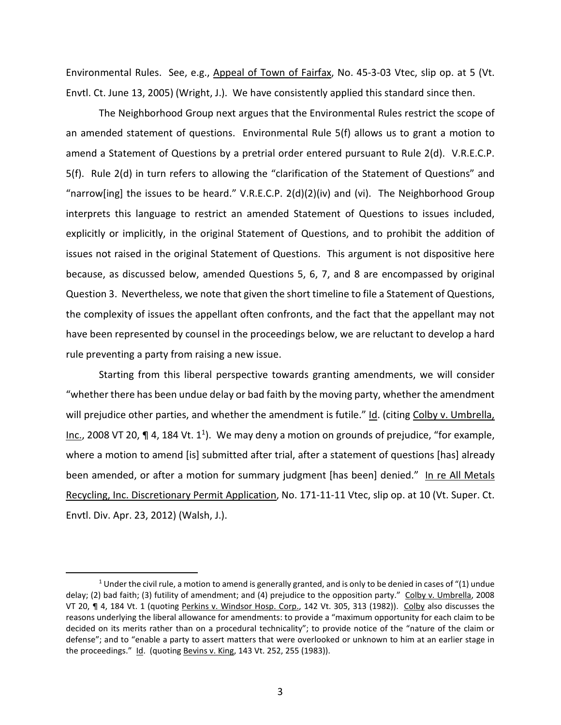Environmental Rules. See, e.g., Appeal of Town of Fairfax, No. 45-3-03 Vtec, slip op. at 5 (Vt. Envtl. Ct. June 13, 2005) (Wright, J.). We have consistently applied this standard since then.

The Neighborhood Group next argues that the Environmental Rules restrict the scope of an amended statement of questions. Environmental Rule 5(f) allows us to grant a motion to amend a Statement of Questions by a pretrial order entered pursuant to Rule 2(d). V.R.E.C.P. 5(f). Rule 2(d) in turn refers to allowing the "clarification of the Statement of Questions" and "narrow[ing] the issues to be heard." V.R.E.C.P. 2(d)(2)(iv) and (vi). The Neighborhood Group interprets this language to restrict an amended Statement of Questions to issues included, explicitly or implicitly, in the original Statement of Questions, and to prohibit the addition of issues not raised in the original Statement of Questions. This argument is not dispositive here because, as discussed below, amended Questions 5, 6, 7, and 8 are encompassed by original Question 3. Nevertheless, we note that given the short timeline to file a Statement of Questions, the complexity of issues the appellant often confronts, and the fact that the appellant may not have been represented by counsel in the proceedings below, we are reluctant to develop a hard rule preventing a party from raising a new issue.

Starting from this liberal perspective towards granting amendments, we will consider "whether there has been undue delay or bad faith by the moving party, whether the amendment will prejudice other parties, and whether the amendment is futile." Id. (citing Colby v. Umbrella, Inc., 2008 VT 20, ¶ 4, 184 Vt. 1<sup>1</sup>). We may deny a motion on grounds of prejudice, "for example, where a motion to amend [is] submitted after trial, after a statement of questions [has] already been amended, or after a motion for summary judgment [has been] denied." In re All Metals Recycling, Inc. Discretionary Permit Application, No. 171-11-11 Vtec, slip op. at 10 (Vt. Super. Ct. Envtl. Div. Apr. 23, 2012) (Walsh, J.).

.

 $1$  Under the civil rule, a motion to amend is generally granted, and is only to be denied in cases of "(1) undue delay; (2) bad faith; (3) futility of amendment; and (4) prejudice to the opposition party." Colby v. Umbrella, 2008 VT 20, ¶ 4, 184 Vt. 1 (quoting Perkins v. Windsor Hosp. Corp., 142 Vt. 305, 313 (1982)). Colby also discusses the reasons underlying the liberal allowance for amendments: to provide a "maximum opportunity for each claim to be decided on its merits rather than on a procedural technicality"; to provide notice of the "nature of the claim or defense"; and to "enable a party to assert matters that were overlooked or unknown to him at an earlier stage in the proceedings." Id. (quoting Bevins v. King, 143 Vt. 252, 255 (1983)).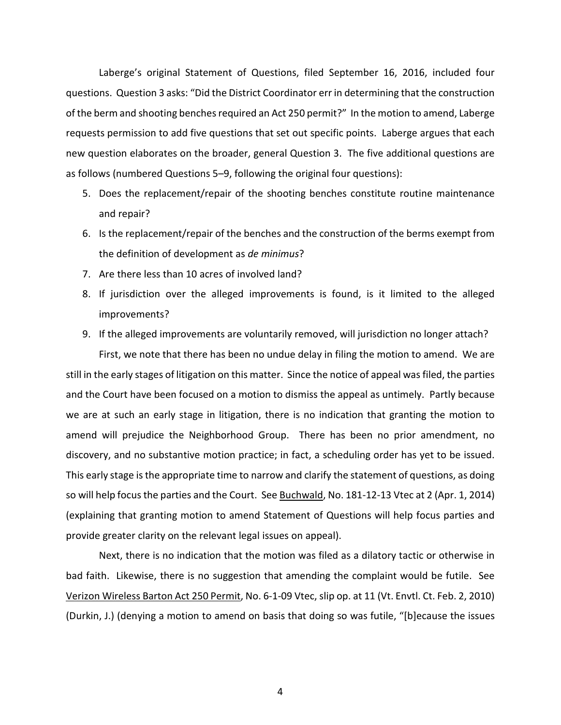Laberge's original Statement of Questions, filed September 16, 2016, included four questions. Question 3 asks: "Did the District Coordinator err in determining that the construction of the berm and shooting benches required an Act 250 permit?" In the motion to amend, Laberge requests permission to add five questions that set out specific points. Laberge argues that each new question elaborates on the broader, general Question 3. The five additional questions are as follows (numbered Questions 5–9, following the original four questions):

- 5. Does the replacement/repair of the shooting benches constitute routine maintenance and repair?
- 6. Is the replacement/repair of the benches and the construction of the berms exempt from the definition of development as *de minimus*?
- 7. Are there less than 10 acres of involved land?
- 8. If jurisdiction over the alleged improvements is found, is it limited to the alleged improvements?
- 9. If the alleged improvements are voluntarily removed, will jurisdiction no longer attach? First, we note that there has been no undue delay in filing the motion to amend. We are still in the early stages of litigation on this matter. Since the notice of appeal was filed, the parties and the Court have been focused on a motion to dismiss the appeal as untimely. Partly because we are at such an early stage in litigation, there is no indication that granting the motion to amend will prejudice the Neighborhood Group. There has been no prior amendment, no discovery, and no substantive motion practice; in fact, a scheduling order has yet to be issued. This early stage is the appropriate time to narrow and clarify the statement of questions, as doing so will help focus the parties and the Court. See Buchwald, No. 181-12-13 Vtec at 2 (Apr. 1, 2014) (explaining that granting motion to amend Statement of Questions will help focus parties and provide greater clarity on the relevant legal issues on appeal).

Next, there is no indication that the motion was filed as a dilatory tactic or otherwise in bad faith. Likewise, there is no suggestion that amending the complaint would be futile. See Verizon Wireless Barton Act 250 Permit, No. 6-1-09 Vtec, slip op. at 11 (Vt. Envtl. Ct. Feb. 2, 2010) (Durkin, J.) (denying a motion to amend on basis that doing so was futile, "[b]ecause the issues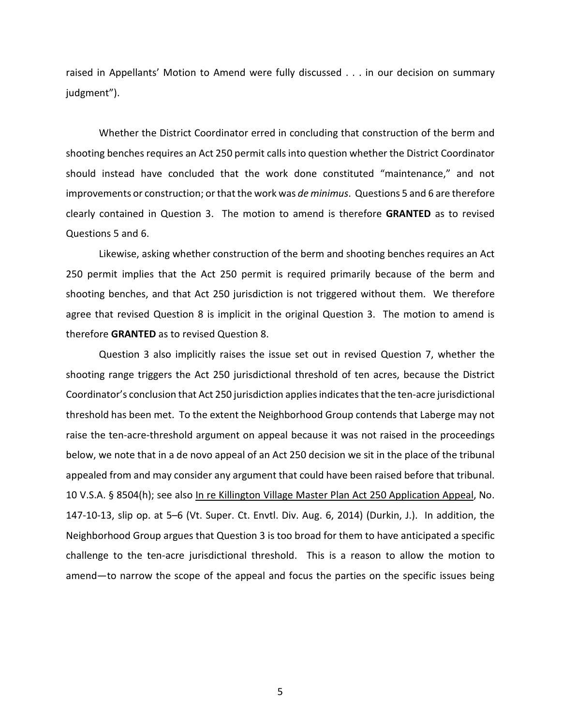raised in Appellants' Motion to Amend were fully discussed . . . in our decision on summary judgment").

Whether the District Coordinator erred in concluding that construction of the berm and shooting benches requires an Act 250 permit calls into question whether the District Coordinator should instead have concluded that the work done constituted "maintenance," and not improvements or construction; or that the work was *de minimus*. Questions 5 and 6 are therefore clearly contained in Question 3. The motion to amend is therefore **GRANTED** as to revised Questions 5 and 6.

Likewise, asking whether construction of the berm and shooting benches requires an Act 250 permit implies that the Act 250 permit is required primarily because of the berm and shooting benches, and that Act 250 jurisdiction is not triggered without them. We therefore agree that revised Question 8 is implicit in the original Question 3. The motion to amend is therefore **GRANTED** as to revised Question 8.

Question 3 also implicitly raises the issue set out in revised Question 7, whether the shooting range triggers the Act 250 jurisdictional threshold of ten acres, because the District Coordinator's conclusion that Act 250 jurisdiction applies indicates that the ten-acre jurisdictional threshold has been met. To the extent the Neighborhood Group contends that Laberge may not raise the ten-acre-threshold argument on appeal because it was not raised in the proceedings below, we note that in a de novo appeal of an Act 250 decision we sit in the place of the tribunal appealed from and may consider any argument that could have been raised before that tribunal. 10 V.S.A. § 8504(h); see also In re Killington Village Master Plan Act 250 Application Appeal, No. 147-10-13, slip op. at 5–6 (Vt. Super. Ct. Envtl. Div. Aug. 6, 2014) (Durkin, J.). In addition, the Neighborhood Group argues that Question 3 is too broad for them to have anticipated a specific challenge to the ten-acre jurisdictional threshold. This is a reason to allow the motion to amend—to narrow the scope of the appeal and focus the parties on the specific issues being